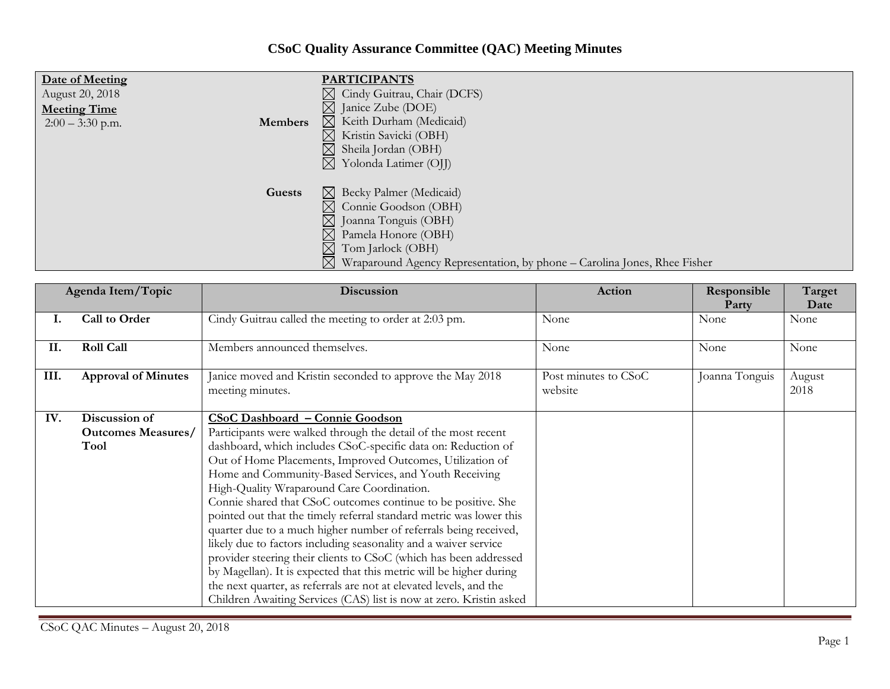## **CSoC Quality Assurance Committee (QAC) Meeting Minutes**

| Date of Meeting<br>August 20, 2018<br><b>Meeting Time</b><br><b>Members</b><br>$2:00 - 3:30$ p.m. | <b>PARTICIPANTS</b><br>$\boxtimes$ Cindy Guitrau, Chair (DCFS)<br>$\boxtimes$ Janice Zube (DOE)<br>$\boxtimes$ Keith Durham (Medicaid)<br>Kristin Savicki (OBH)<br>$\bowtie$<br>Sheila Jordan (OBH)<br>Yolonda Latimer (OJJ)<br>$\bowtie$                            |
|---------------------------------------------------------------------------------------------------|----------------------------------------------------------------------------------------------------------------------------------------------------------------------------------------------------------------------------------------------------------------------|
| Guests                                                                                            | $\boxtimes$ Becky Palmer (Medicaid)<br>$\boxtimes$ Connie Goodson (OBH)<br>$\boxtimes$<br>Joanna Tonguis (OBH)<br>$\boxtimes$<br>Pamela Honore (OBH)<br>Tom Jarlock (OBH)<br>$\boxtimes$<br>Wraparound Agency Representation, by phone – Carolina Jones, Rhee Fisher |

|      | Agenda Item/Topic                                  | <b>Discussion</b>                                                                                                                                                                                                                                                                                                                                                                                                                                                                                                                                                                                                   | Action                          | Responsible<br>Party | Target<br>Date |
|------|----------------------------------------------------|---------------------------------------------------------------------------------------------------------------------------------------------------------------------------------------------------------------------------------------------------------------------------------------------------------------------------------------------------------------------------------------------------------------------------------------------------------------------------------------------------------------------------------------------------------------------------------------------------------------------|---------------------------------|----------------------|----------------|
| т.   | Call to Order                                      | Cindy Guitrau called the meeting to order at 2:03 pm.                                                                                                                                                                                                                                                                                                                                                                                                                                                                                                                                                               | None                            | None                 | None           |
| II.  | <b>Roll Call</b>                                   | Members announced themselves.                                                                                                                                                                                                                                                                                                                                                                                                                                                                                                                                                                                       | None                            | None                 | None           |
| III. | <b>Approval of Minutes</b>                         | Janice moved and Kristin seconded to approve the May 2018<br>meeting minutes.                                                                                                                                                                                                                                                                                                                                                                                                                                                                                                                                       | Post minutes to CSoC<br>website | Joanna Tonguis       | August<br>2018 |
| IV.  | Discussion of<br><b>Outcomes Measures/</b><br>Tool | CSoC Dashboard - Connie Goodson<br>Participants were walked through the detail of the most recent<br>dashboard, which includes CSoC-specific data on: Reduction of<br>Out of Home Placements, Improved Outcomes, Utilization of<br>Home and Community-Based Services, and Youth Receiving                                                                                                                                                                                                                                                                                                                           |                                 |                      |                |
|      |                                                    | High-Quality Wraparound Care Coordination.<br>Connie shared that CSoC outcomes continue to be positive. She<br>pointed out that the timely referral standard metric was lower this<br>quarter due to a much higher number of referrals being received,<br>likely due to factors including seasonality and a waiver service<br>provider steering their clients to CSoC (which has been addressed<br>by Magellan). It is expected that this metric will be higher during<br>the next quarter, as referrals are not at elevated levels, and the<br>Children Awaiting Services (CAS) list is now at zero. Kristin asked |                                 |                      |                |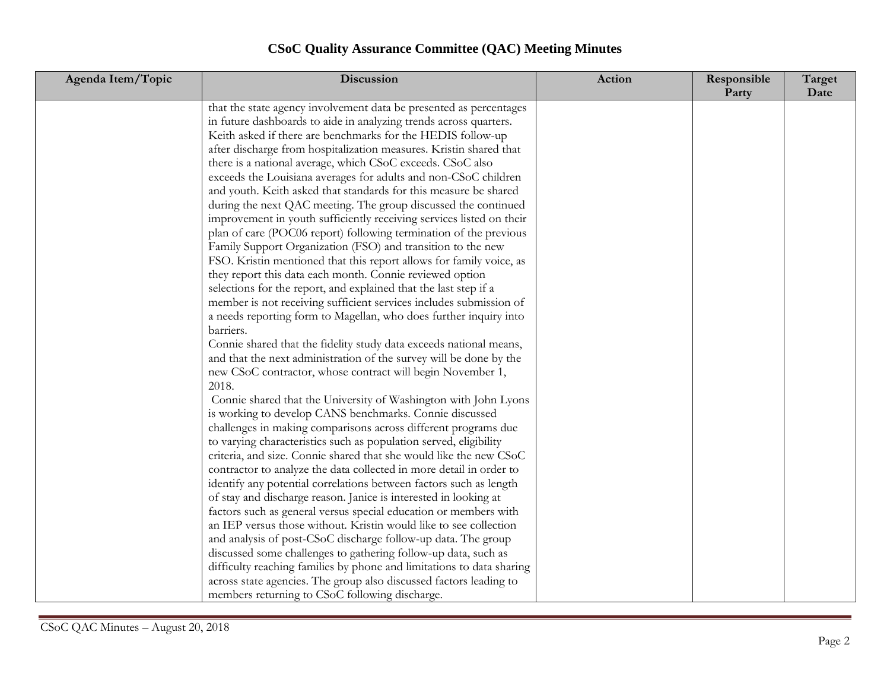| <b>CSoC Quality Assurance Committee (QAC) Meeting Minutes</b> |  |
|---------------------------------------------------------------|--|
|---------------------------------------------------------------|--|

| Agenda Item/Topic | Discussion                                                            | Action | Responsible<br>Party | Target<br>Date |
|-------------------|-----------------------------------------------------------------------|--------|----------------------|----------------|
|                   | that the state agency involvement data be presented as percentages    |        |                      |                |
|                   | in future dashboards to aide in analyzing trends across quarters.     |        |                      |                |
|                   | Keith asked if there are benchmarks for the HEDIS follow-up           |        |                      |                |
|                   | after discharge from hospitalization measures. Kristin shared that    |        |                      |                |
|                   | there is a national average, which CSoC exceeds. CSoC also            |        |                      |                |
|                   | exceeds the Louisiana averages for adults and non-CSoC children       |        |                      |                |
|                   | and youth. Keith asked that standards for this measure be shared      |        |                      |                |
|                   | during the next QAC meeting. The group discussed the continued        |        |                      |                |
|                   | improvement in youth sufficiently receiving services listed on their  |        |                      |                |
|                   | plan of care (POC06 report) following termination of the previous     |        |                      |                |
|                   | Family Support Organization (FSO) and transition to the new           |        |                      |                |
|                   | FSO. Kristin mentioned that this report allows for family voice, as   |        |                      |                |
|                   | they report this data each month. Connie reviewed option              |        |                      |                |
|                   | selections for the report, and explained that the last step if a      |        |                      |                |
|                   | member is not receiving sufficient services includes submission of    |        |                      |                |
|                   | a needs reporting form to Magellan, who does further inquiry into     |        |                      |                |
|                   | barriers.                                                             |        |                      |                |
|                   | Connie shared that the fidelity study data exceeds national means,    |        |                      |                |
|                   | and that the next administration of the survey will be done by the    |        |                      |                |
|                   | new CSoC contractor, whose contract will begin November 1,            |        |                      |                |
|                   | 2018.                                                                 |        |                      |                |
|                   | Connie shared that the University of Washington with John Lyons       |        |                      |                |
|                   | is working to develop CANS benchmarks. Connie discussed               |        |                      |                |
|                   | challenges in making comparisons across different programs due        |        |                      |                |
|                   | to varying characteristics such as population served, eligibility     |        |                      |                |
|                   | criteria, and size. Connie shared that she would like the new CSoC    |        |                      |                |
|                   | contractor to analyze the data collected in more detail in order to   |        |                      |                |
|                   | identify any potential correlations between factors such as length    |        |                      |                |
|                   | of stay and discharge reason. Janice is interested in looking at      |        |                      |                |
|                   | factors such as general versus special education or members with      |        |                      |                |
|                   | an IEP versus those without. Kristin would like to see collection     |        |                      |                |
|                   | and analysis of post-CSoC discharge follow-up data. The group         |        |                      |                |
|                   | discussed some challenges to gathering follow-up data, such as        |        |                      |                |
|                   | difficulty reaching families by phone and limitations to data sharing |        |                      |                |
|                   | across state agencies. The group also discussed factors leading to    |        |                      |                |
|                   | members returning to CSoC following discharge.                        |        |                      |                |